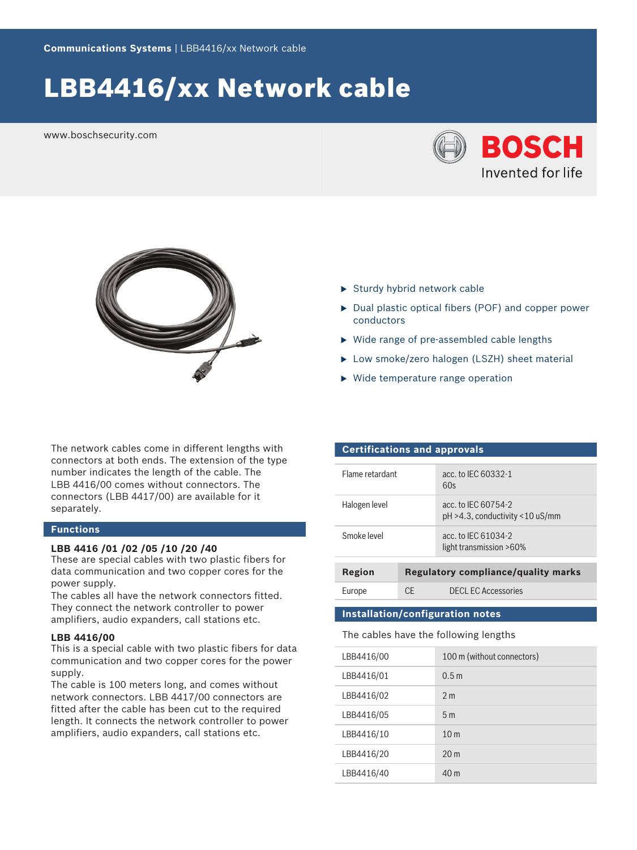# LBB4416/xx Network cable

www.boschsecurity.com





The network cables come in different lengths with connectors at both ends. The extension of the type number indicates the length of the cable. The LBB 4416/00 comes without connectors. The connectors (LBB 4417/00) are available for it separately.

# **Functions**

# **LBB 4416 /01 /02 /05 /10 /20 /40**

These are special cables with two plastic fibers for data communication and two copper cores for the power supply.

The cables all have the network connectors fitted. They connect the network controller to power amplifiers, audio expanders, call stations etc.

# **LBB 4416/00**

This is a special cable with two plastic fibers for data communication and two copper cores for the power supply.

The cable is 100 meters long, and comes without network connectors. LBB 4417/00 connectors are fitted after the cable has been cut to the required length. It connects the network controller to power amplifiers, audio expanders, call stations etc.

- $\blacktriangleright$  Sturdy hybrid network cable
- $\triangleright$  Dual plastic optical fibers (POF) and copper power conductors
- $\triangleright$  Wide range of pre-assembled cable lengths
- ▶ Low smoke/zero halogen (LSZH) sheet material
- $\blacktriangleright$  Wide temperature range operation

## **Certifications and approvals**

| acc. to IFC 60754-2<br>$pH > 4.3$ , conductivity < 10 uS/mm |
|-------------------------------------------------------------|
| acc. to IFC 61034-2<br>light transmission >60%              |
|                                                             |

| Region |     | Regulatory compliance/quality marks |
|--------|-----|-------------------------------------|
| Europe | CE. | <b>DECL EC Accessories</b>          |

# **Installation/configuration notes**

The cables have the following lengths

| LBB4416/00 | 100 m (without connectors) |
|------------|----------------------------|
| LBB4416/01 | 0.5 <sub>m</sub>           |
| LBB4416/02 | 2 <sub>m</sub>             |
| LBB4416/05 | 5 <sub>m</sub>             |
| LBB4416/10 | 10 <sub>m</sub>            |
| LBB4416/20 | 20 <sub>m</sub>            |
| LBB4416/40 | 40 <sub>m</sub>            |